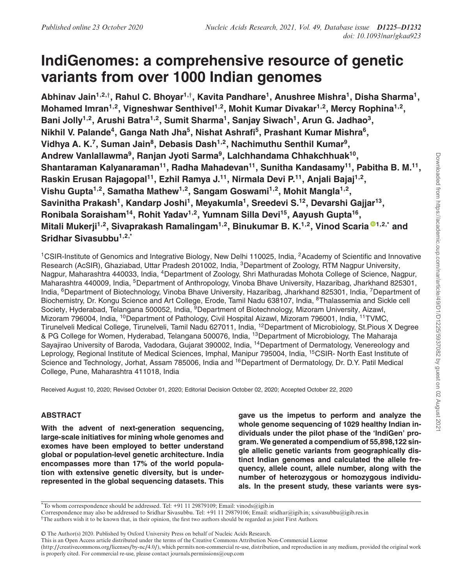# **IndiGenomes: a comprehensive resource of genetic variants from over 1000 Indian genomes**

**Abhinav Jain1,2,**† **, Rahul C. Bhoyar1,**† **, Kavita Pandhare<sup>1</sup> , Anushree Mishra<sup>1</sup> , Disha Sharma<sup>1</sup> , Mohamed Imran1,2, Vigneshwar Senthivel1,2, Mohit Kumar Divakar1,2, Mercy Rophina1,2 , Bani Jolly1,2, Arushi Batra1,2, Sumit Sharma<sup>1</sup> , Sanjay Siwach<sup>1</sup> , Arun G. Jadhao<sup>3</sup> , Nikhil V. Palande<sup>4</sup> , Ganga Nath Jha<sup>5</sup> , Nishat Ashrafi<sup>5</sup> , Prashant Kumar Mishra<sup>6</sup> , Vidhya A. K.<sup>7</sup> , Suman Jain<sup>8</sup> , Debasis Dash1,2, Nachimuthu Senthil Kumar<sup>9</sup> , Andrew Vanlallawma<sup>9</sup> , Ranjan Jyoti Sarma<sup>9</sup> , Lalchhandama Chhakchhuak<sup>10</sup> , Shantaraman Kalyanaraman<sup>11</sup>, Radha Mahadevan<sup>11</sup>, Sunitha Kandasamy<sup>11</sup>, Pabitha B. M.<sup>11</sup> , Raskin Erusan Rajagopal<sup>11</sup>, Ezhil Ramya J.<sup>11</sup>, Nirmala Devi P.<sup>11</sup>, Anjali Bajaj1,2 , Vishu Gupta1,2, Samatha Mathew1,2, Sangam Goswami1,2, Mohit Mangla1,2 , Savinitha Prakash<sup>1</sup> , Kandarp Joshi<sup>1</sup> , Meyakumla<sup>1</sup> , Sreedevi S.<sup>12</sup>, Devarshi Gajjar<sup>13</sup> , Ronibala Soraisham<sup>14</sup>, Rohit Yadav1,2, Yumnam Silla Devi<sup>15</sup>, Aayush Gupta<sup>16</sup> , Mitali Mukerji1,2, Sivaprakash Ramalingam1,2, Binukumar B. K.1,2, Vinod Scaria 1,2,\* and Sridhar Sivasubbu1,2,\***

<sup>1</sup>CSIR-Institute of Genomics and Integrative Biology, New Delhi 110025, India, <sup>2</sup>Academy of Scientific and Innovative Research (AcSIR), Ghaziabad, Uttar Pradesh 201002, India, <sup>3</sup>Department of Zoology, RTM Nagpur University, Nagpur, Maharashtra 440033, India, <sup>4</sup>Department of Zoology, Shri Mathuradas Mohota College of Science, Nagpur, Maharashtra 440009, India, <sup>5</sup>Department of Anthropology, Vinoba Bhave University, Hazaribag, Jharkhand 825301, India, <sup>6</sup>Department of Biotechnology, Vinoba Bhave University, Hazaribag, Jharkhand 825301, India, <sup>7</sup>Department of Biochemistry, Dr. Kongu Science and Art College, Erode, Tamil Nadu 638107, India, <sup>8</sup>Thalassemia and Sickle cell Society, Hyderabad, Telangana 500052, India, <sup>9</sup>Department of Biotechnology, Mizoram University, Aizawl, Mizoram 796004, India, <sup>10</sup>Department of Pathology, Civil Hospital Aizawl, Mizoram 796001, India, <sup>11</sup>TVMC, Tirunelveli Medical College, Tirunelveli, Tamil Nadu 627011, India, <sup>12</sup>Department of Microbiology, St.Pious X Degree & PG College for Women, Hyderabad, Telangana 500076, India, <sup>13</sup>Department of Microbiology, The Maharaja Sayajirao University of Baroda, Vadodara, Gujarat 390002, India, <sup>14</sup>Department of Dermatology, Venereology and Leprology, Regional Institute of Medical Sciences, Imphal, Manipur 795004, India, <sup>15</sup>CSIR- North East Institute of Science and Technology, Jorhat, Assam 785006, India and <sup>16</sup>Department of Dermatology, Dr. D.Y. Patil Medical College, Pune, Maharashtra 411018, India

Received August 10, 2020; Revised October 01, 2020; Editorial Decision October 02, 2020; Accepted October 22, 2020

## **ABSTRACT**

**With the advent of next-generation sequencing, large-scale initiatives for mining whole genomes and exomes have been employed to better understand global or population-level genetic architecture. India encompasses more than 17% of the world population with extensive genetic diversity, but is underrepresented in the global sequencing datasets. This** **gave us the impetus to perform and analyze the whole genome sequencing of 1029 healthy Indian individuals under the pilot phase of the 'IndiGen' program. We generated a compendium of 55,898,122 single allelic genetic variants from geographically distinct Indian genomes and calculated the allele frequency, allele count, allele number, along with the number of heterozygous or homozygous individuals. In the present study, these variants were sys-**

\*To whom correspondence should be addressed. Tel: +91 11 29879109; Email: vinods@igib.in

Correspondence may also be addressed to Sridhar Sivasubbu. Tel: +91 11 29879106; Email: sridhar@igib.in; s.sivasubbu@igib.res.in †The authors wish it to be known that, in their opinion, the first two authors should be regarded as joint First Authors.

-<sup>C</sup> The Author(s) 2020. Published by Oxford University Press on behalf of Nucleic Acids Research.

(http://creativecommons.org/licenses/by-nc/4.0/), which permits non-commercial re-use, distribution, and reproduction in any medium, provided the original work is properly cited. For commercial re-use, please contact journals.permissions@oup.com

This is an Open Access article distributed under the terms of the Creative Commons Attribution Non-Commercial License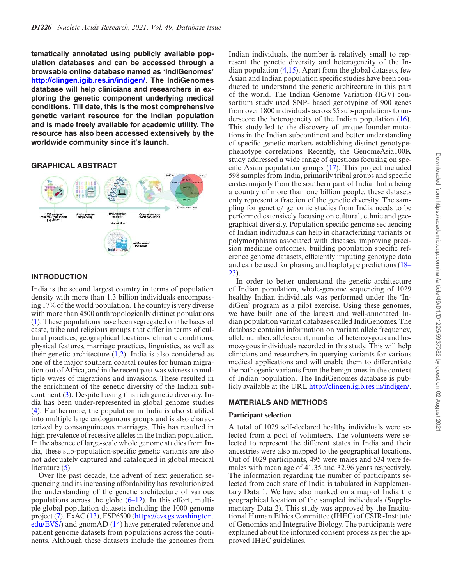**tematically annotated using publicly available population databases and can be accessed through a browsable online database named as 'IndiGenomes' http://clingen.igib.res.in/indigen/. The IndiGenomes database will help clinicians and researchers in exploring the genetic component underlying medical conditions. Till date, this is the most comprehensive genetic variant resource for the Indian population and is made freely available for academic utility. The resource has also been accessed extensively by the worldwide community since it's launch.**

#### **GRAPHICAL ABSTRACT**



#### **INTRODUCTION**

India is the second largest country in terms of population density with more than 1.3 billion individuals encompassing 17% of the world population. The country is very diverse with more than 4500 anthropologically distinct populations (1). These populations have been segregated on the bases of caste, tribe and religious groups that differ in terms of cultural practices, geographical locations, climatic conditions, physical features, marriage practices, linguistics, as well as their genetic architecture  $(1,2)$ . India is also considered as one of the major southern coastal routes for human migration out of Africa, and in the recent past was witness to multiple waves of migrations and invasions. These resulted in the enrichment of the genetic diversity of the Indian subcontinent (3). Despite having this rich genetic diversity, India has been under-represented in global genome studies (4). Furthermore, the population in India is also stratified into multiple large endogamous groups and is also characterized by consanguineous marriages. This has resulted in high prevalence of recessive alleles in the Indian population. In the absence of large-scale whole genome studies from India, these sub-population-specific genetic variants are also not adequately captured and catalogued in global medical literature (5).

Over the past decade, the advent of next generation sequencing and its increasing affordability has revolutionized the understanding of the genetic architecture of various populations across the globe  $(6-12)$ . In this effort, multiple global population datasets including the 1000 genome project (7), ExAC (13), ESP6500 (https://evs.gs.washington. edu/EVS/) and gnomAD (14) have generated reference and patient genome datasets from populations across the continents. Although these datasets include the genomes from

Indian individuals, the number is relatively small to represent the genetic diversity and heterogeneity of the Indian population (4,15). Apart from the global datasets, few Asian and Indian population specific studies have been conducted to understand the genetic architecture in this part of the world. The Indian Genome Variation (IGV) consortium study used SNP- based genotyping of 900 genes from over 1800 individuals across 55 sub-populations to underscore the heterogeneity of the Indian population (16). This study led to the discovery of unique founder mutations in the Indian subcontinent and better understanding of specific genetic markers establishing distinct genotypephenotype correlations. Recently, the GenomeAsia100K study addressed a wide range of questions focusing on specific Asian population groups (17). This project included 598 samples from India, primarily tribal groups and specific castes majorly from the southern part of India. India being a country of more than one billion people, these datasets only represent a fraction of the genetic diversity. The sampling for genetic/ genomic studies from India needs to be performed extensively focusing on cultural, ethnic and geographical diversity. Population specific genome sequencing of Indian individuals can help in characterizing variants or polymorphisms associated with diseases, improving precision medicine outcomes, building population specific reference genome datasets, efficiently imputing genotype data and can be used for phasing and haplotype predictions (18– 23).

In order to better understand the genetic architecture of Indian population, whole-genome sequencing of 1029 healthy Indian individuals was performed under the 'IndiGen' program as a pilot exercise. Using these genomes, we have built one of the largest and well-annotated Indian population variant databases called IndiGenomes. The database contains information on variant allele frequency, allele number, allele count, number of heterozygous and homozygous individuals recorded in this study. This will help clinicians and researchers in querying variants for various medical applications and will enable them to differentiate the pathogenic variants from the benign ones in the context of Indian population. The IndiGenomes database is publicly available at the URL http://clingen.igib.res.in/indigen/.

#### **MATERIALS AND METHODS**

#### **Participant selection**

A total of 1029 self-declared healthy individuals were selected from a pool of volunteers. The volunteers were selected to represent the different states in India and their ancestries were also mapped to the geographical locations. Out of 1029 participants, 495 were males and 534 were females with mean age of 41.35 and 32.96 years respectively. The information regarding the number of participants selected from each state of India is tabulated in Supplementary Data 1. We have also marked on a map of India the geographical location of the sampled individuals (Supplementary Data 2). This study was approved by the Institutional Human Ethics Committee (IHEC) of CSIR-Institute of Genomics and Integrative Biology. The participants were explained about the informed consent process as per the approved IHEC guidelines.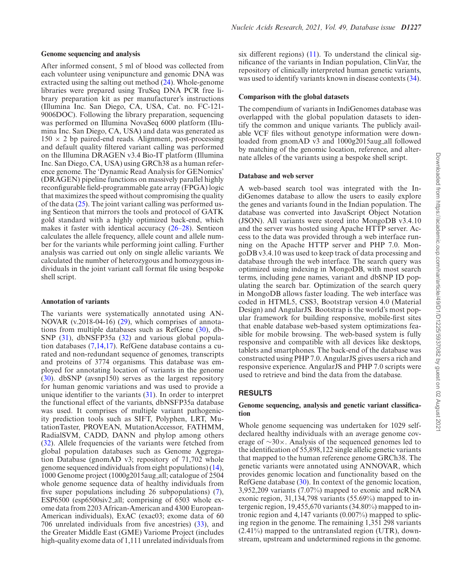After informed consent, 5 ml of blood was collected from each volunteer using venipuncture and genomic DNA was extracted using the salting out method (24). Whole-genome libraries were prepared using TruSeq DNA PCR free library preparation kit as per manufacturer's instructions (Illumina Inc. San Diego, CA, USA, Cat. no. FC-121- 9006DOC). Following the library preparation, sequencing was performed on Illumina NovaSeq 6000 platform (Illumina Inc. San Diego, CA, USA) and data was generated as  $150 \times 2$  bp paired-end reads. Alignment, post-processing and default quality filtered variant calling was performed on the Illumina DRAGEN v3.4 Bio-IT platform (Illumina Inc. San Diego, CA, USA) using GRCh38 as a human reference genome. The 'Dynamic Read Analysis for GENomics' (DRAGEN) pipeline functions on massively parallel highly reconfigurable field-programmable gate array (FPGA) logic that maximizes the speed without compromising the quality of the data  $(25)$ . The joint variant calling was performed using Sentieon that mirrors the tools and protocol of GATK gold standard with a highly optimized back-end, which makes it faster with identical accuracy (26–28). Sentieon calculates the allele frequency, allele count and allele number for the variants while performing joint calling. Further analysis was carried out only on single allelic variants. We calculated the number of heterozygous and homozygous individuals in the joint variant call format file using bespoke shell script.

#### **Annotation of variants**

The variants were systematically annotated using AN-NOVAR (v.2018-04-16) (29), which comprises of annotations from multiple databases such as RefGene (30), db-SNP (31), dbNSFP35a (32) and various global population databases (7,14,17). RefGene database contains a curated and non-redundant sequence of genomes, transcripts and proteins of 3774 organisms. This database was employed for annotating location of variants in the genome (30). dbSNP (avsnp150) serves as the largest repository for human genomic variations and was used to provide a unique identifier to the variants (31). In order to interpret the functional effect of the variants, dbNSFP35a database was used. It comprises of multiple variant pathogenicity prediction tools such as SIFT, Polyphen, LRT, MutationTaster, PROVEAN, MutationAccessor, FATHMM, RadialSVM, CADD, DANN and phylop among others (32). Allele frequencies of the variants were fetched from global population databases such as Genome Aggregation Database (gnomAD v3; repository of 71,702 whole genome sequenced individuals from eight populations) (14), 1000 Genome project (1000g2015aug all; catalogue of 2504 whole genome sequence data of healthy individuals from five super populations including 26 subpopulations) (7), ESP6500 (esp6500siv2 all; comprising of 6503 whole exome data from 2203 African-American and 4300 European-American individuals), ExAC (exac03; exome data of 60 706 unrelated individuals from five ancestries) (33), and the Greater Middle East (GME) Variome Project (includes high-quality exome data of 1,111 unrelated individuals from

six different regions)  $(11)$ . To understand the clinical significance of the variants in Indian population, ClinVar, the repository of clinically interpreted human genetic variants, was used to identify variants known in disease contexts  $(34)$ .

#### **Comparison with the global datasets**

The compendium of variants in IndiGenomes database was overlapped with the global population datasets to identify the common and unique variants. The publicly available VCF files without genotype information were downloaded from gnomAD v3 and 1000g2015aug all followed by matching of the genomic location, reference, and alternate alleles of the variants using a bespoke shell script.

#### **Database and web server**

A web-based search tool was integrated with the IndiGenomes database to allow the users to easily explore the genes and variants found in the Indian population. The database was converted into JavaScript Object Notation (JSON). All variants were stored into MongoDB v3.4.10 and the server was hosted using Apache HTTP server. Access to the data was provided through a web interface running on the Apache HTTP server and PHP 7.0. MongoDB v3.4.10 was used to keep track of data processing and database through the web interface. The search query was optimized using indexing in MongoDB, with most search terms, including gene names, variant and dbSNP ID populating the search bar. Optimization of the search query in MongoDB allows faster loading. The web interface was coded in HTML5, CSS3, Bootstrap version 4.0 (Material Design) and AngularJS. Bootstrap is the world's most popular framework for building responsive, mobile-first sites that enable database web-based system optimizations feasible for mobile browsing. The web-based system is fully responsive and compatible with all devices like desktops, tablets and smartphones. The back-end of the database was constructed using PHP 7.0. AngularJS gives users a rich and responsive experience. AngularJS and PHP 7.0 scripts were used to retrieve and bind the data from the database.

#### **RESULTS**

#### **Genome sequencing, analysis and genetic variant classification**

Whole genome sequencing was undertaken for 1029 selfdeclared healthy individuals with an average genome coverage of ∼30×. Analysis of the sequenced genomes led to the identification of 55,898,122 single allelic genetic variants that mapped to the human reference genome GRCh38. The genetic variants were annotated using ANNOVAR, which provides genomic location and functionality based on the RefGene database (30). In context of the genomic location, 3,952,209 variants (7.07%) mapped to exonic and ncRNA exonic region, 31,134,798 variants (55.69%) mapped to intergenic region, 19,455,670 variants (34.80%) mapped to intronic region and 4,147 variants (0.007%) mapped to splicing region in the genome. The remaining 1,351 298 variants (2.41%) mapped to the untranslated region (UTR), downstream, upstream and undetermined regions in the genome.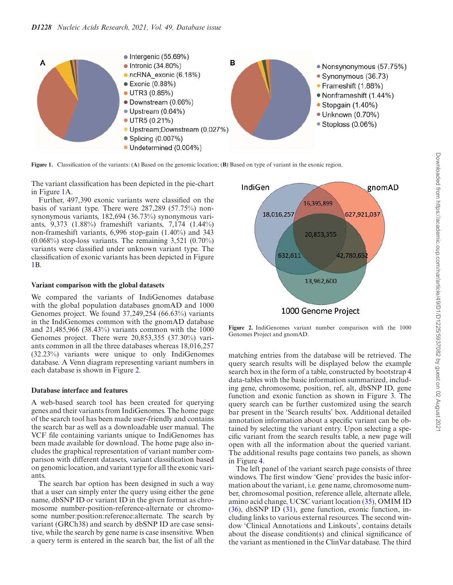

**Figure 1.** Classification of the variants: (**A**) Based on the genomic location; (**B**) Based on type of variant in the exonic region.

The variant classification has been depicted in the pie-chart in Figure 1A.

Further, 497,390 exonic variants were classified on the basis of variant type. There were 287,289 (57.75%) nonsynonymous variants, 182,694 (36.73%) synonymous variants, 9,373 (1.88%) frameshift variants, 7,174 (1.44%) non-frameshift variants, 6,996 stop-gain (1.40%) and 343  $(0.068\%)$  stop-loss variants. The remaining 3,521  $(0.70\%)$ variants were classified under unknown variant type. The classification of exonic variants has been depicted in Figure 1B.

#### **Variant comparison with the global datasets**

We compared the variants of IndiGenomes database with the global population databases gnomAD and 1000 Genomes project. We found 37,249,254 (66.63%) variants in the IndiGenomes common with the gnomAD database and 21,485,966 (38.43%) variants common with the 1000 Genomes project. There were 20,853,355 (37.30%) variants common in all the three databases whereas 18,016,257 (32.23%) variants were unique to only IndiGenomes database. A Venn diagram representing variant numbers in each database is shown in Figure 2.

#### **Database interface and features**

A web-based search tool has been created for querying genes and their variants from IndiGenomes. The home page of the search tool has been made user-friendly and contains the search bar as well as a downloadable user manual. The VCF file containing variants unique to IndiGenomes has been made available for download. The home page also includes the graphical representation of variant number comparison with different datasets, variant classification based on genomic location, and variant type for all the exonic variants.

The search bar option has been designed in such a way that a user can simply enter the query using either the gene name, dbSNP ID or variant ID in the given format as chromosome number-position-reference-alternate or chromosome number:position:reference:alternate. The search by variant (GRCh38) and search by dbSNP ID are case sensitive, while the search by gene name is case insensitive. When a query term is entered in the search bar, the list of all the



**Figure 2.** IndiGenomes variant number comparison with the 1000 Genomes Project and gnomAD.

matching entries from the database will be retrieved. The query search results will be displayed below the example search box in the form of a table, constructed by bootstrap 4 data-tables with the basic information summarized, including gene, chromosome, position, ref, alt, dbSNP ID, gene function and exonic function as shown in Figure 3. The query search can be further customized using the search bar present in the 'Search results' box. Additional detailed annotation information about a specific variant can be obtained by selecting the variant entry. Upon selecting a specific variant from the search results table, a new page will open with all the information about the queried variant. The additional results page contains two panels, as shown in Figure 4.

The left panel of the variant search page consists of three windows. The first window 'Gene' provides the basic information about the variant, i.e. gene name, chromosome number, chromosomal position, reference allele, alternate allele, amino acid change, UCSC variant location (35), OMIM ID (36), dbSNP ID (31), gene function, exonic function, including links to various external resources. The second window 'Clinical Annotations and Linkouts', contains details about the disease condition(s) and clinical significance of the variant as mentioned in the ClinVar database. The third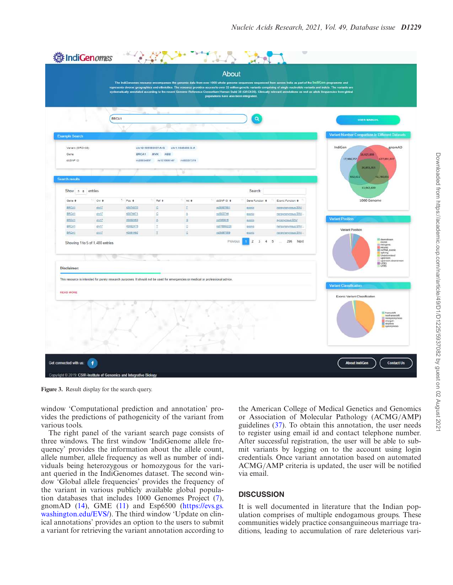|                       |                                 |                                                                                                                                  |                                      |                             | <b>About</b><br>populations have also been integrated. |                                  | The IndiGenomes resource encompasses the genomic data from over 1000 whole genome sequences sequenced from across India as part of the IndiGen programme and<br>represents diverse geographies and ethnicities. The resource provides access to over 55 million genetic variants comprising of single nucleotide variants and indets. The variants are<br>systematically annotated according to the recent Genome Reference Consortium Human Build 38 (GRCh38). Clinically relevant annotations as well as allele trequencies from global |                                                                                                                                                      |
|-----------------------|---------------------------------|----------------------------------------------------------------------------------------------------------------------------------|--------------------------------------|-----------------------------|--------------------------------------------------------|----------------------------------|-------------------------------------------------------------------------------------------------------------------------------------------------------------------------------------------------------------------------------------------------------------------------------------------------------------------------------------------------------------------------------------------------------------------------------------------------------------------------------------------------------------------------------------------|------------------------------------------------------------------------------------------------------------------------------------------------------|
|                       |                                 | w<br>BRCA1                                                                                                                       |                                      |                             |                                                        | a                                |                                                                                                                                                                                                                                                                                                                                                                                                                                                                                                                                           | <b>USER MANUAL</b>                                                                                                                                   |
|                       |                                 |                                                                                                                                  |                                      |                             |                                                        |                                  |                                                                                                                                                                                                                                                                                                                                                                                                                                                                                                                                           |                                                                                                                                                      |
| <b>Example Search</b> |                                 |                                                                                                                                  |                                      |                             |                                                        |                                  |                                                                                                                                                                                                                                                                                                                                                                                                                                                                                                                                           | Variant Number Comparison in Different Datasets                                                                                                      |
| Variant (GRCh38)      |                                 |                                                                                                                                  | chr12-109586107-A-G chr1:1045488:G:A |                             |                                                        |                                  |                                                                                                                                                                                                                                                                                                                                                                                                                                                                                                                                           | IndiGen<br>gnomAD                                                                                                                                    |
| Gene                  |                                 | <b>BRCAT</b>                                                                                                                     | <b>MVK</b><br>HBB                    |                             |                                                        |                                  |                                                                                                                                                                                                                                                                                                                                                                                                                                                                                                                                           | 16.425.899<br>17,986,257<br>627,991,037                                                                                                              |
| dbSNP ID              |                                 |                                                                                                                                  | rs28934857 rs121908147 rs80357374    |                             |                                                        |                                  |                                                                                                                                                                                                                                                                                                                                                                                                                                                                                                                                           | 221, 153, 154                                                                                                                                        |
|                       |                                 |                                                                                                                                  |                                      | ۰                           |                                                        |                                  |                                                                                                                                                                                                                                                                                                                                                                                                                                                                                                                                           |                                                                                                                                                      |
| Search results        |                                 |                                                                                                                                  |                                      |                             |                                                        |                                  |                                                                                                                                                                                                                                                                                                                                                                                                                                                                                                                                           | 632,631<br>42,780,652                                                                                                                                |
| Show s e entries      |                                 |                                                                                                                                  |                                      |                             |                                                        | Search:                          |                                                                                                                                                                                                                                                                                                                                                                                                                                                                                                                                           | 13,962,600                                                                                                                                           |
| Gene #                | 1 Chr ¢                         | $P_{cos}$                                                                                                                        | Ref #                                | Alt @                       | doSNP ID #                                             | Gene Function @                  | Exenic Function *                                                                                                                                                                                                                                                                                                                                                                                                                                                                                                                         | 1000 Genome                                                                                                                                          |
| <b>BRCA1</b>          | shrt?                           | 43074370                                                                                                                         | ¢                                    | II.                         | (\$28807601)                                           | granic                           | nonsynonymous SNV.                                                                                                                                                                                                                                                                                                                                                                                                                                                                                                                        |                                                                                                                                                      |
| BRCA1                 | $d$ <sub>17</sub>               | 43074471                                                                                                                         | c                                    | A                           | ra 1800744                                             | exprug                           | nonsynonymous SNV.                                                                                                                                                                                                                                                                                                                                                                                                                                                                                                                        |                                                                                                                                                      |
| BROA1                 | ghr17                           | 43082453                                                                                                                         | ă.                                   | $\subseteq$                 | rs1000915                                              | sionic                           | synonymous SNV                                                                                                                                                                                                                                                                                                                                                                                                                                                                                                                            | <b>Variant Position</b>                                                                                                                              |
| BRCA1<br>BRCA1        | dtr17<br>$dN+17$                | 43082475<br>43091492                                                                                                             | I.<br>I                              | $\mathbb{C}$<br>$\subseteq$ | 1s876669228<br>1928297689                              | counts<br>exprig                 | nensynonymous SNV<br>nonaynonymous SNV.                                                                                                                                                                                                                                                                                                                                                                                                                                                                                                   | Variant Position                                                                                                                                     |
| Disclaimer:           | Showing 1 to 5 of 1,480 entries |                                                                                                                                  |                                      |                             | Previous                                               | $\overline{2}$<br>$\overline{3}$ | $\frac{4}{3}$<br>5<br>296 Next<br>$\cdots$                                                                                                                                                                                                                                                                                                                                                                                                                                                                                                | downstream<br>exanic<br>Intergenic<br><b>Intronic</b><br>ncRNA_exeric<br>splicing<br><b>Undetermined</b><br>upstream<br>upstream; downstream<br>UTR3 |
| <b>READ MORE</b>      |                                 | This resource is intended for purely research purposes. It should not be used for emergencies or medical or professional advice. |                                      |                             |                                                        |                                  |                                                                                                                                                                                                                                                                                                                                                                                                                                                                                                                                           | Variant Classification<br>Exonic Variant Classification                                                                                              |
|                       |                                 |                                                                                                                                  |                                      |                             |                                                        |                                  |                                                                                                                                                                                                                                                                                                                                                                                                                                                                                                                                           | <b>E hameshit</b><br>nortramestatt<br>stoppain<br><b>Bultionsympus</b>                                                                               |
|                       |                                 |                                                                                                                                  |                                      |                             |                                                        |                                  |                                                                                                                                                                                                                                                                                                                                                                                                                                                                                                                                           | <b>About IndiGen</b><br><b>Contact Us</b>                                                                                                            |

**Figure 3.** Result display for the search query.

window 'Computational prediction and annotation' provides the predictions of pathogenicity of the variant from various tools.

The right panel of the variant search page consists of three windows. The first window 'IndiGenome allele frequency' provides the information about the allele count, allele number, allele frequency as well as number of individuals being heterozygous or homozygous for the variant queried in the IndiGenomes dataset. The second window 'Global allele frequencies' provides the frequency of the variant in various publicly available global population databases that includes 1000 Genomes Project (7), gnomAD (14), GME (11) and Esp6500 (https://evs.gs. washington.edu/EVS/). The third window 'Update on clinical annotations' provides an option to the users to submit a variant for retrieving the variant annotation according to

the American College of Medical Genetics and Genomics or Association of Molecular Pathology (ACMG/AMP) guidelines (37). To obtain this annotation, the user needs to register using email id and contact telephone number. After successful registration, the user will be able to submit variants by logging on to the account using login credentials. Once variant annotation based on automated ACMG/AMP criteria is updated, the user will be notified via email.

#### **DISCUSSION**

It is well documented in literature that the Indian population comprises of multiple endogamous groups. These communities widely practice consanguineous marriage traditions, leading to accumulation of rare deleterious vari-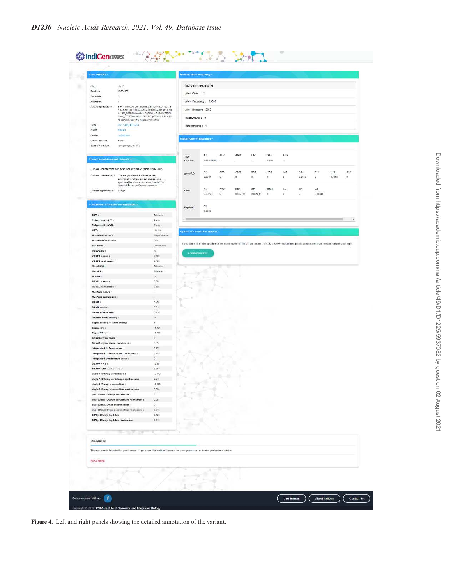| Gene: BRCA1                                                                                                                                              |                                                                                          | IndiGen Allele Frequency         |                                                                                                                                                            |                                  |                          |                |                            |                      |               |                |            |     |
|----------------------------------------------------------------------------------------------------------------------------------------------------------|------------------------------------------------------------------------------------------|----------------------------------|------------------------------------------------------------------------------------------------------------------------------------------------------------|----------------------------------|--------------------------|----------------|----------------------------|----------------------|---------------|----------------|------------|-----|
|                                                                                                                                                          |                                                                                          |                                  |                                                                                                                                                            |                                  |                          |                |                            |                      |               |                |            |     |
| $Chr$ :<br>shell?                                                                                                                                        |                                                                                          |                                  | IndiGen Frequencies                                                                                                                                        |                                  |                          |                |                            |                      |               |                |            |     |
| 43074370<br>Position<br>Ref Allele<br>e.                                                                                                                 |                                                                                          | Alfele Count: 1                  |                                                                                                                                                            |                                  |                          |                |                            |                      |               |                |            |     |
| <b>Alt Allele</b>                                                                                                                                        |                                                                                          |                                  | Alfele Frequency: 0.0005                                                                                                                                   |                                  |                          |                |                            |                      |               |                |            |     |
| AAChange refGene :                                                                                                                                       | BRCA1.NM_007297.exph13.c.G4405A.p.D1400N.B                                               |                                  |                                                                                                                                                            |                                  |                          |                |                            |                      |               |                |            |     |
|                                                                                                                                                          | RCA1:NM_007298:expn13:c C1324A:p D442N,BRC<br>A1:NM_007294:excn14.c.G4030A.p.D1646N.SRCA | Allele Number: 2052              |                                                                                                                                                            |                                  |                          |                |                            |                      |               |                |            |     |
| M_007300:exent5:e G459RA;p.01567N                                                                                                                        | 1.NM_007299.uspn14.p.01324A.p.D442N.BRCA1.N.                                             | Homozygous : 0                   |                                                                                                                                                            |                                  |                          |                |                            |                      |               |                |            |     |
| UCSC.<br>ww.17-43074378-C-T                                                                                                                              |                                                                                          | Heterozygous: 1                  |                                                                                                                                                            |                                  |                          |                |                            |                      |               |                |            |     |
| <b>BRCAT</b><br>DM/M                                                                                                                                     |                                                                                          |                                  |                                                                                                                                                            |                                  |                          |                |                            |                      |               |                |            |     |
| (125897001)<br>dbaNP:                                                                                                                                    |                                                                                          | <b>Global Allele Frequencies</b> |                                                                                                                                                            |                                  |                          |                |                            |                      |               |                |            |     |
| Gene Function:<br>exante<br>Exania Function                                                                                                              |                                                                                          |                                  |                                                                                                                                                            |                                  |                          |                |                            |                      |               |                |            |     |
| nonsynonymous SNV                                                                                                                                        |                                                                                          |                                  |                                                                                                                                                            |                                  |                          |                |                            |                      |               |                |            |     |
|                                                                                                                                                          |                                                                                          | 1000                             | All                                                                                                                                                        | AFR                              | AMR                      | EAS            | 8A <sub>S</sub>            | EUR                  |               |                |            |     |
| Clinical Annotations and Linkosth ~                                                                                                                      |                                                                                          | Genome                           | 0.000199501                                                                                                                                                | $\sim$                           | $\overline{\phantom{a}}$ | ti)            | $-0.001$                   | $\bullet$ G          |               |                |            |     |
| Clinical annotations are based on clinvar version 2019-03-05.                                                                                            |                                                                                          |                                  |                                                                                                                                                            |                                  |                          |                |                            |                      |               |                |            |     |
| Disease condition(s) : Hereditary breast and ovarian cancer                                                                                              |                                                                                          | GAmong                           | All                                                                                                                                                        | AFR                              | AMR                      | EAS            | SAS                        | AMI                  | A5J           | FIN            | <b>NFE</b> | OTH |
| syndrome/Hereditary cancer-predisposing<br>syndrome(@reast-dvanan cancer, familal Tinot                                                                  |                                                                                          |                                  | 0.0001                                                                                                                                                     | ٥                                | $\circ$                  | $\mathbb{O}$ : | $\Omega$                   | O.                   | 0.0000        | o,             | 0.0002     | i0. |
| specified(Bread) and/or ovarian cancer                                                                                                                   |                                                                                          |                                  |                                                                                                                                                            |                                  |                          | AP             |                            |                      | m.            |                |            |     |
| Clinical significance: Benign                                                                                                                            |                                                                                          | CME                              | Äll<br>0.00203                                                                                                                                             | <b>NWA</b><br>$\dot{\mathbb{Q}}$ | <b>NEA</b><br>0.0027.17  | 0.005017       | Incael<br>$\overline{\nu}$ | 3D<br>$\mathfrak{g}$ | $\mathfrak g$ | CA<br>0.003817 |            |     |
|                                                                                                                                                          |                                                                                          |                                  |                                                                                                                                                            |                                  |                          |                |                            |                      |               |                |            |     |
| Computation Prediction and Annotation ~                                                                                                                  |                                                                                          |                                  | 选择                                                                                                                                                         |                                  |                          |                |                            |                      |               |                |            |     |
|                                                                                                                                                          |                                                                                          | Esp6500                          | 0.0002                                                                                                                                                     |                                  |                          |                |                            |                      |               |                |            |     |
| SIFT:                                                                                                                                                    | Tolerated                                                                                |                                  |                                                                                                                                                            |                                  |                          |                |                            |                      |               |                |            |     |
| Polyphan2 HDIV:                                                                                                                                          | Benipt                                                                                   | $+$                              |                                                                                                                                                            |                                  |                          |                |                            |                      |               |                |            | ٠   |
| Polyphen2 HVAR:<br>LRT:                                                                                                                                  | Berign.<br>Neutral                                                                       |                                  |                                                                                                                                                            |                                  |                          |                |                            |                      |               |                |            |     |
| MutationTaster:                                                                                                                                          | Paymorphism                                                                              |                                  | Update on Clinical Annotations                                                                                                                             |                                  |                          |                |                            |                      |               |                |            |     |
| MutationAssesser (                                                                                                                                       | Low                                                                                      |                                  |                                                                                                                                                            |                                  |                          |                |                            |                      |               |                |            |     |
| FATHMM:                                                                                                                                                  | Deleterisce                                                                              |                                  | If you would like to be updated on the classification of the variant as per the ACMG & AMP guidelines, please access and share the phenotypes after login. |                                  |                          |                |                            |                      |               |                |            |     |
| PROVEAN :                                                                                                                                                | $\mathcal{W}$                                                                            | LOGINRECUSTER                    |                                                                                                                                                            |                                  |                          |                |                            |                      |               |                |            |     |
| VEST3 seere :<br>VEST3 rankecore:                                                                                                                        | 0.403                                                                                    |                                  |                                                                                                                                                            |                                  |                          |                |                            |                      |               |                |            |     |
|                                                                                                                                                          | 0.481                                                                                    |                                  |                                                                                                                                                            |                                  |                          |                |                            |                      |               |                |            |     |
|                                                                                                                                                          |                                                                                          |                                  |                                                                                                                                                            |                                  |                          |                |                            |                      |               |                |            |     |
| MetaSVM (<br>MetaLR:                                                                                                                                     | Tolerated                                                                                |                                  |                                                                                                                                                            |                                  |                          |                |                            |                      |               |                |            |     |
|                                                                                                                                                          | Tolerated<br>$\mathbb{D}$                                                                |                                  |                                                                                                                                                            |                                  |                          |                |                            |                      |               |                |            |     |
| $M-CAP$<br><b>REVEL Seere:</b>                                                                                                                           | 0.289                                                                                    |                                  |                                                                                                                                                            |                                  |                          |                |                            |                      |               |                |            |     |
| <b>REVEL rankscore</b> :                                                                                                                                 | $-0.008$                                                                                 |                                  |                                                                                                                                                            |                                  |                          |                |                            |                      |               |                |            |     |
| MutPred seere :                                                                                                                                          | ٠                                                                                        |                                  |                                                                                                                                                            |                                  |                          |                |                            |                      |               |                |            |     |
|                                                                                                                                                          |                                                                                          |                                  |                                                                                                                                                            |                                  |                          |                |                            |                      |               |                |            |     |
|                                                                                                                                                          | 6.250                                                                                    | ٠                                |                                                                                                                                                            |                                  |                          |                |                            |                      |               |                |            |     |
|                                                                                                                                                          | 0.818<br>D.134                                                                           |                                  |                                                                                                                                                            |                                  |                          |                |                            |                      |               |                |            |     |
| MutPred rankscore:<br>CADD:<br><b>DANN score:</b><br><b>DANN</b> rankssere <b>1</b><br>fathmm MKL coding :                                               | $\mathbb{N}$                                                                             |                                  |                                                                                                                                                            |                                  |                          |                |                            |                      |               |                |            |     |
| Eigen coding or nonceding:                                                                                                                               | $\epsilon$                                                                               |                                  |                                                                                                                                                            |                                  |                          |                |                            |                      |               |                |            |     |
| fligen raw :                                                                                                                                             | $-1.434$                                                                                 |                                  |                                                                                                                                                            |                                  |                          |                |                            |                      |               |                |            |     |
| Eigen PO raw :                                                                                                                                           | $-1.453$                                                                                 |                                  |                                                                                                                                                            |                                  |                          |                |                            |                      |               |                |            |     |
| GeneCanyen seere :<br>GenoCanyon score rankscore :                                                                                                       | $\sigma$                                                                                 |                                  |                                                                                                                                                            |                                  |                          |                |                            |                      |               |                |            |     |
|                                                                                                                                                          | 0.05<br>0.732                                                                            |                                  |                                                                                                                                                            |                                  |                          |                |                            |                      |               |                |            |     |
|                                                                                                                                                          | 0.024                                                                                    |                                  |                                                                                                                                                            |                                  |                          |                |                            |                      |               |                |            |     |
|                                                                                                                                                          | $\mathbb{D}$                                                                             |                                  |                                                                                                                                                            |                                  |                          |                |                            |                      |               |                |            |     |
|                                                                                                                                                          | $-2.00$                                                                                  |                                  |                                                                                                                                                            |                                  |                          |                |                            |                      |               |                |            |     |
| integrated fitCons score :<br>integrated fitCons seore rankscore :<br>integrated confidence value :<br><b>GERP++ RS :</b><br><b>GERP++ RS rankscore:</b> | 0.057                                                                                    |                                  |                                                                                                                                                            |                                  |                          |                |                            |                      |               |                |            |     |
| phylaP100way vertekrate:<br><b>LANNYA</b> ARI                                                                                                            | $-0.742$<br>0.040                                                                        |                                  |                                                                                                                                                            |                                  |                          |                |                            |                      |               |                |            |     |
| phyloP20way mammalian :                                                                                                                                  | $-1.595$                                                                                 |                                  |                                                                                                                                                            |                                  |                          |                |                            |                      |               |                |            |     |
| phyloP20way mammalian ranksoore :                                                                                                                        | 0,000                                                                                    |                                  |                                                                                                                                                            |                                  |                          |                |                            |                      |               |                |            |     |
| phantOons100way vertebrate:                                                                                                                              | $\alpha$                                                                                 |                                  |                                                                                                                                                            |                                  |                          |                |                            |                      |               |                |            |     |
| phastCons100way vertebrate rankscore :                                                                                                                   | 0.063                                                                                    |                                  |                                                                                                                                                            |                                  |                          |                |                            |                      |               |                |            |     |
| phastCons20way mammalian:                                                                                                                                | $\mathfrak{D}$                                                                           |                                  |                                                                                                                                                            |                                  |                          |                |                            |                      |               |                |            |     |
| phastCons20way mammalian rankscore :                                                                                                                     | 0.016                                                                                    |                                  |                                                                                                                                                            |                                  |                          |                |                            |                      |               |                |            |     |
| SiPhy 29way log0dds:                                                                                                                                     | 5.121<br>0.141                                                                           |                                  |                                                                                                                                                            |                                  |                          |                |                            |                      |               |                |            |     |
| SiPhy 29way logOdds rankscore :                                                                                                                          |                                                                                          |                                  |                                                                                                                                                            |                                  |                          |                |                            |                      |               |                |            |     |
|                                                                                                                                                          |                                                                                          |                                  |                                                                                                                                                            |                                  |                          |                |                            |                      |               |                |            |     |
|                                                                                                                                                          |                                                                                          |                                  |                                                                                                                                                            |                                  |                          |                |                            |                      |               |                |            |     |
| Disclaimer:                                                                                                                                              |                                                                                          |                                  |                                                                                                                                                            |                                  |                          |                |                            |                      |               |                |            |     |
| This resource is intended for purely research purposes. It should not be used for emergencies or medical or professional advice                          |                                                                                          |                                  |                                                                                                                                                            |                                  |                          |                |                            |                      |               |                |            |     |
|                                                                                                                                                          |                                                                                          |                                  |                                                                                                                                                            |                                  |                          |                |                            |                      |               |                |            |     |
| <b>READ MORE</b>                                                                                                                                         |                                                                                          |                                  |                                                                                                                                                            |                                  |                          |                |                            |                      |               |                |            |     |
|                                                                                                                                                          |                                                                                          |                                  |                                                                                                                                                            |                                  |                          |                |                            |                      |               |                |            |     |
|                                                                                                                                                          |                                                                                          |                                  |                                                                                                                                                            |                                  |                          |                |                            |                      |               |                |            |     |
|                                                                                                                                                          |                                                                                          |                                  |                                                                                                                                                            |                                  |                          |                |                            |                      |               |                |            |     |

**Figure 4.** Left and right panels showing the detailed annotation of the variant.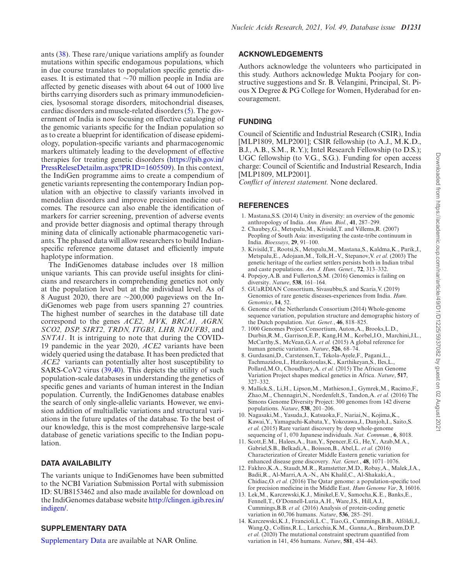ants (38). These rare/unique variations amplify as founder mutations within specific endogamous populations, which in due course translates to population specific genetic diseases. It is estimated that ∼70 million people in India are affected by genetic diseases with about 64 out of 1000 live births carrying disorders such as primary immunodeficiencies, lysosomal storage disorders, mitochondrial diseases, cardiac disorders and muscle-related disorders (5). The government of India is now focusing on effective cataloging of the genomic variants specific for the Indian population so as to create a blueprint for identification of disease epidemiology, population-specific variants and pharmacogenomic markers ultimately leading to the development of effective therapies for treating genetic disorders (https://pib.gov.in/ PressReleseDetailm.aspx?PRID=1605509). In this context, the IndiGen programme aims to create a compendium of genetic variants representing the contemporary Indian population with an objective to classify variants involved in mendelian disorders and improve precision medicine outcomes. The resource can also enable the identification of markers for carrier screening, prevention of adverse events and provide better diagnosis and optimal therapy through

mining data of clinically actionable pharmacogenetic variants. The phased data will allow researchers to build Indianspecific reference genome dataset and efficiently impute haplotype information. The IndiGenomes database includes over 18 million unique variants. This can provide useful insights for clini-

cians and researchers in comprehending genetics not only at the population level but at the individual level. As of 8 August 2020, there are ∼200,000 pageviews on the IndiGenomes web page from users spanning 27 countries. The highest number of searches in the database till date correspond to the genes *ACE2, MVK, BRCA1, AGRN, SCO2, DSP, SIRT2, TRDN, ITGB3, LHB, NDUFB3*, and *SNTA1*. It is intriguing to note that during the COVID-19 pandemic in the year 2020, *ACE2* variants have been widely queried using the database. It has been predicted that *ACE2* variants can potentially alter host susceptibility to SARS-CoV2 virus (39,40). This depicts the utility of such population-scale databases in understanding the genetics of specific genes and variants of human interest in the Indian population. Currently, the IndiGenomes database enables the search of only single-allelic variants. However, we envision addition of multiallelic variations and structural variations in the future updates of the database. To the best of our knowledge, this is the most comprehensive large-scale database of genetic variations specific to the Indian population.

## **DATA AVAILABILITY**

The variants unique to IndiGenomes have been submitted to the NCBI Variation Submission Portal with submission ID: SUB8153462 and also made available for download on the IndiGenomes database website http://clingen.igib.res.in/ indigen/.

## **SUPPLEMENTARY DATA**

Supplementary Data are available at NAR Online.

## **ACKNOWLEDGEMENTS**

Authors acknowledge the volunteers who participated in this study. Authors acknowledge Mukta Poojary for constructive suggestions and Sr. B. Velangini, Principal, St. Pious X Degree & PG College for Women, Hyderabad for encouragement.

# **FUNDING**

Council of Scientific and Industrial Research (CSIR), India [MLP1809, MLP2001]; CSIR fellowship (to A.J., M.K.D., B.J., A.B., S.M., R.Y.); Intel Research Fellowship (to D.S.); UGC fellowship (to V.G., S.G.). Funding for open access charge: Council of Scientific and Industrial Research, India [MLP1809, MLP2001].

*Conflict of interest statement.* None declared.

# **REFERENCES**

- 1. Mastana,S.S. (2014) Unity in diversity: an overview of the genomic anthropology of India. *Ann. Hum. Biol.*, **41**, 287–299.
- 2. Chaubey,G., Metspalu,M., Kivisild,T. and Villems,R. (2007) Peopling of South Asia: investigating the caste-tribe continuum in India. *Bioessays*, **29**, 91–100.
- 3. Kivisild,T., Rootsi,S., Metspalu,M., Mastana,S., Kaldma,K., Parik,J., Metspalu,E., Adojaan,M., Tolk,H.-V., Stepanov,V. *et al.* (2003) The genetic heritage of the earliest settlers persists both in Indian tribal and caste populations. *Am. J. Hum. Genet.*, **72**, 313–332.
- 4. Popejoy,A.B. and Fullerton,S.M. (2016) Genomics is failing on diversity. *Nature*, **538**, 161–164.
- 5. GUaRDIAN Consortium, Sivasubbu,S. and Scaria,V. (2019) Genomics of rare genetic diseases-experiences from India. *Hum. Genomics*, **14**, 52.
- 6. Genome of the Netherlands Consortium (2014) Whole-genome sequence variation, population structure and demographic history of the Dutch population. *Nat. Genet.*, **46**, 818–825.
- 7. 1000 Genomes Project Consortium, Auton,A., Brooks,L.D., Durbin,R.M., Garrison,E.P., Kang,H.M., Korbel,J.O., Marchini,J.L., McCarthy,S., McVean,G.A. *et al.* (2015) A global reference for human genetic variation. *Nature*, **526**, 68–74.
- 8. Gurdasani,D., Carstensen,T., Tekola-Ayele,F., Pagani,L., Tachmazidou,I., Hatzikotoulas,K., Karthikeyan,S., Iles,L., Pollard,M.O., Choudhury,A. *et al.* (2015) The African Genome Variation Project shapes medical genetics in Africa. *Nature*, **517**, 327–332.
- 9. Mallick,S., Li,H., Lipson,M., Mathieson,I., Gymrek,M., Racimo,F., Zhao,M., Chennagiri,N., Nordenfelt,S., Tandon,A. *et al.* (2016) The Simons Genome Diversity Project: 300 genomes from 142 diverse populations. *Nature*, **538**, 201–206.
- 10. Nagasaki,M., Yasuda,J., Katsuoka,F., Nariai,N., Kojima,K., Kawai,Y., Yamaguchi-Kabata,Y., Yokozawa,J., Danjoh,I., Saito,S. *et al.* (2015) Rare variant discovery by deep whole-genome sequencing of 1, 070 Japanese individuals. *Nat. Commun.*, **6**, 8018.
- 11. Scott,E.M., Halees,A., Itan,Y., Spencer,E.G., He,Y., Azab,M.A., Gabriel,S.B., Belkadi,A., Boisson,B., Abel,L. *et al.* (2016) Characterization of Greater Middle Eastern genetic variation for enhanced disease gene discovery. *Nat. Genet.*, **48**, 1071–1076.
- 12. Fakhro,K.A., Staudt,M.R., Ramstetter,M.D., Robay,A., Malek,J.A., Badii,R., Al-Marri,A.A.-N., Abi Khalil,C., Al-Shakaki,A., Chidiac,O. *et al.* (2016) The Qatar genome: a population-specific tool for precision medicine in the Middle East. *Hum Genome Var*, **3**, 16016.
- 13. Lek,M., Karczewski,K.J., Minikel,E.V., Samocha,K.E., Banks,E., Fennell,T., O'Donnell-Luria,A.H., Ware,J.S., Hill,A.J., Cummings,B.B. *et al.* (2016) Analysis of protein-coding genetic variation in 60,706 humans. *Nature*, **536**, 285–291.
- 14. Karczewski,K.J., Francioli,L.C., Tiao,G., Cummings,B.B., Alfoldi,J., ¨ Wang,Q., Collins,R.L., Laricchia,K.M., Ganna,A., Birnbaum,D.P. *et al.* (2020) The mutational constraint spectrum quantified from variation in 141, 456 humans. *Nature*, **581**, 434–443.